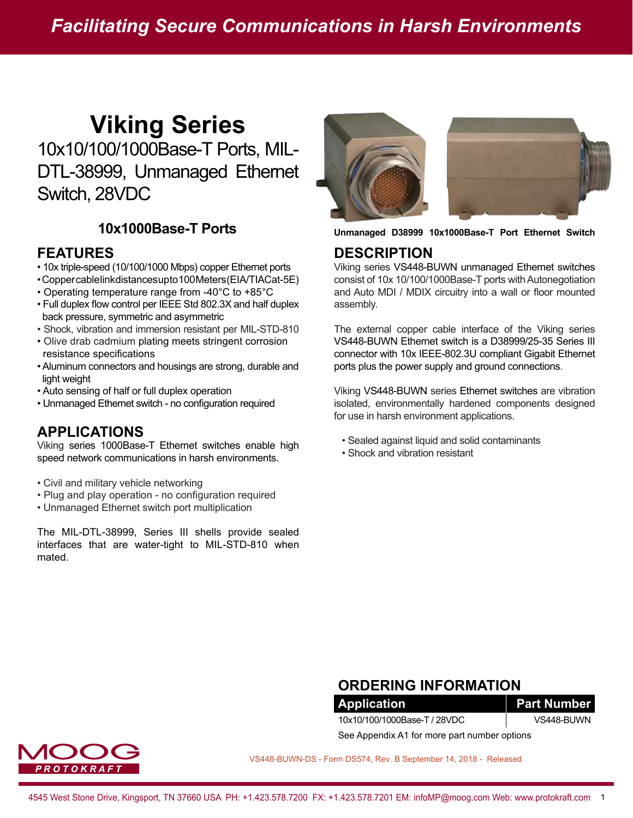# **Viking Series**

10x10/100/1000Base-T Ports, MIL-DTL-38999, Unmanaged Ethernet Switch, 28VDC

### **10x1000Base-T Ports**

#### **FEATURES**

- 10x triple-speed (10/100/1000 Mbps) copper Ethernet ports
- Copper cable link distances up to 100 Meters (EIA/TIA Cat-5E)
- Operating temperature range from -40°C to +85°C
- Full duplex flow control per IEEE Std 802.3X and half duplex back pressure, symmetric and asymmetric
- Shock, vibration and immersion resistant per MIL-STD-810
- Olive drab cadmium plating meets stringent corrosion resistance specifications
- Aluminum connectors and housings are strong, durable and light weight
- Auto sensing of half or full duplex operation
- Unmanaged Ethernet switch no configuration required

### **APPLICATIONS**

Viking series 1000Base-T Ethernet switches enable high speed network communications in harsh environments.

- Civil and military vehicle networking
- Plug and play operation no configuration required
- Unmanaged Ethernet switch port multiplication

The MIL-DTL-38999, Series III shells provide sealed interfaces that are water-tight to MIL-STD-810 when mated.



**Unmanaged D38999 10x1000Base-T Port Ethernet Switch**

#### **DESCRIPTION**

Viking series VS448-BUWN unmanaged Ethernet switches consist of 10x 10/100/1000Base-T ports with Autonegotiation and Auto MDI / MDIX circuitry into a wall or floor mounted assembly.

The external copper cable interface of the Viking series VS448-BUWN Ethernet switch is a D38999/25-35 Series III connector with 10x IEEE-802.3U compliant Gigabit Ethernet ports plus the power supply and ground connections.

Viking VS448-BUWN series Ethernet switches are vibration isolated, environmentally hardened components designed for use in harsh environment applications.

- Sealed against liquid and solid contaminants
- Shock and vibration resistant

### **ORDERING INFORMATION**

**Application Part Number** 10x10/100/1000Base-T / 28VDC VS448-BUWN See Appendix A1 for more part number options

R O T O K R A F '

VS448-BUWN-DS - Form DS574, Rev. B September 14, 2018 - Released

4545 West Stone Drive, Kingsport, TN 37660 USA PH: +1.423.578.7200 FX: +1.423.578.7201 EM: infoMP@moog.com Web: www.protokraft.com 1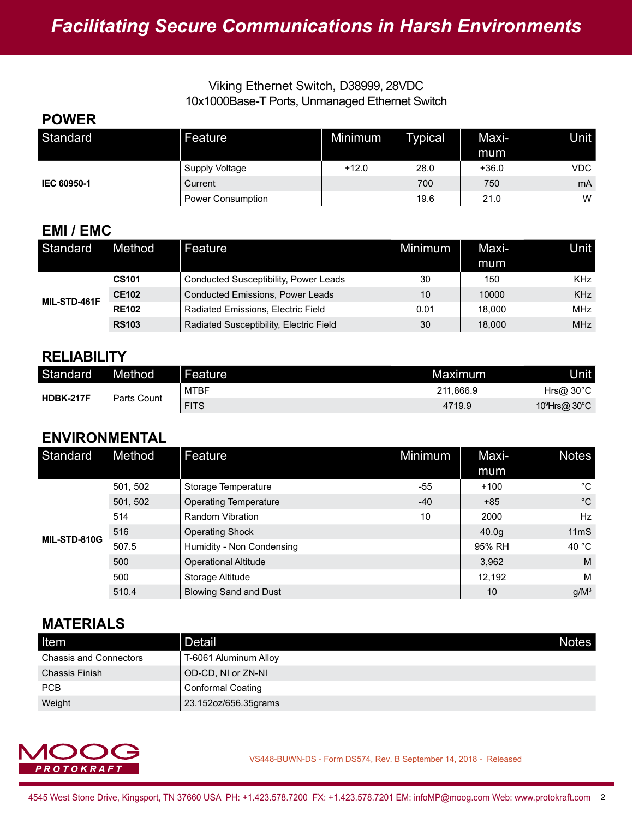#### Viking Ethernet Switch, D38999, 28VDC 10x1000Base-T Ports, Unmanaged Ethernet Switch

#### **POWER** Standard Feature Minimum Typical Maximum Unit **IEC 60950-1** Supply Voltage  $+12.0$   $28.0$   $+36.0$  VDC Current 1980 mAG (1990 mAG (1990 mAG (1990 mAG (1990 mAG (1990 mAG (1990 mAG (1990 mAG ) Power Consumption The Constant of the Constant of the Constant of the 21.0 W

### **EMI / EMC**

| Standard     | Method       | Feature                                 | <b>Minimum</b> | Maxi-<br>mum | Unit       |
|--------------|--------------|-----------------------------------------|----------------|--------------|------------|
| MIL-STD-461F | <b>CS101</b> | Conducted Susceptibility, Power Leads   | 30             | 150          | <b>KHz</b> |
|              | <b>CE102</b> | <b>Conducted Emissions, Power Leads</b> | 10             | 10000        | <b>KHz</b> |
|              | <b>RE102</b> | Radiated Emissions, Electric Field      | 0.01           | 18.000       | <b>MHz</b> |
|              | <b>RS103</b> | Radiated Susceptibility, Electric Field | 30             | 18,000       | <b>MHz</b> |

### **RELIABILITY**

| Standard  | Method      | Feature     | Maximum   | Unit l                    |
|-----------|-------------|-------------|-----------|---------------------------|
| HDBK-217F | Parts Count | <b>MTBF</b> | 211,866.9 | $Hr$ s@ 30°C              |
|           |             | <b>FITS</b> | 4719.9    | 10 <sup>9</sup> Hrs@ 30°C |

### **ENVIRONMENTAL**

| Standard     | Method   | Feature                      | Minimum | Maxi-             | <b>Notes</b>     |
|--------------|----------|------------------------------|---------|-------------------|------------------|
|              |          |                              |         | mum               |                  |
| MIL-STD-810G | 501, 502 | Storage Temperature          | -55     | $+100$            | $^{\circ}$ C     |
|              | 501, 502 | <b>Operating Temperature</b> | $-40$   | $+85$             | $^{\circ}$ C     |
|              | 514      | <b>Random Vibration</b>      | 10      | 2000              | Hz               |
|              | 516      | <b>Operating Shock</b>       |         | 40.0 <sub>g</sub> | 11 <sub>ms</sub> |
|              | 507.5    | Humidity - Non Condensing    |         | 95% RH            | 40 °C            |
|              | 500      | <b>Operational Altitude</b>  |         | 3,962             | M                |
|              | 500      | Storage Altitude             |         | 12,192            | M                |
|              | 510.4    | <b>Blowing Sand and Dust</b> |         | 10                | $g/M^3$          |

### **MATERIALS**

| <b>Item</b>                   | <b>Detail</b>            | <b>Notes</b> |
|-------------------------------|--------------------------|--------------|
| <b>Chassis and Connectors</b> | T-6061 Aluminum Alloy    |              |
| <b>Chassis Finish</b>         | OD-CD, NI or ZN-NI       |              |
| <b>PCB</b>                    | <b>Conformal Coating</b> |              |
| Weight                        | 23.152oz/656.35grams     |              |

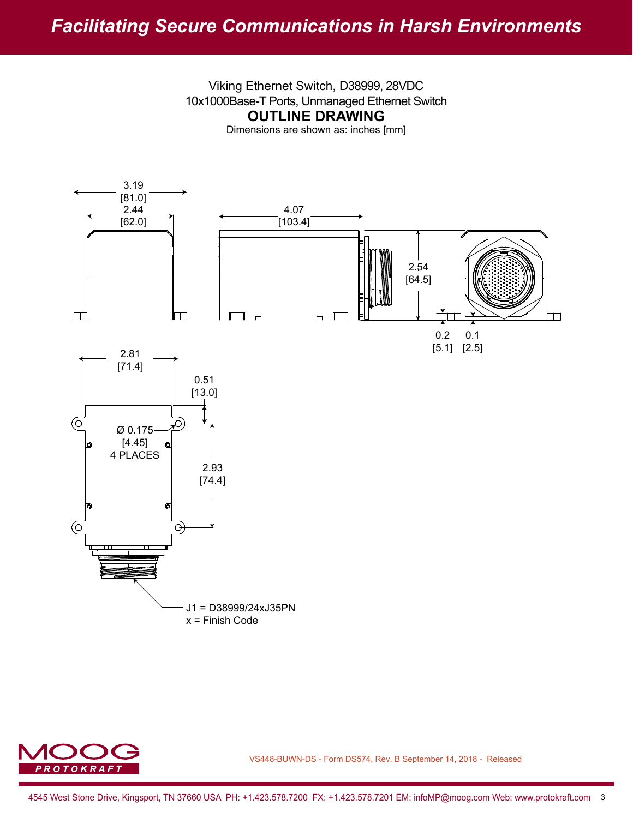## *Facilitating Secure Communications in Harsh Environments*

Viking Ethernet Switch, D38999, 28VDC 10x1000Base-T Ports, Unmanaged Ethernet Switch **OUTLINE DRAWING**

Dimensions are shown as: inches [mm]



J1 = D38999/24xJ35PN x = Finish Code

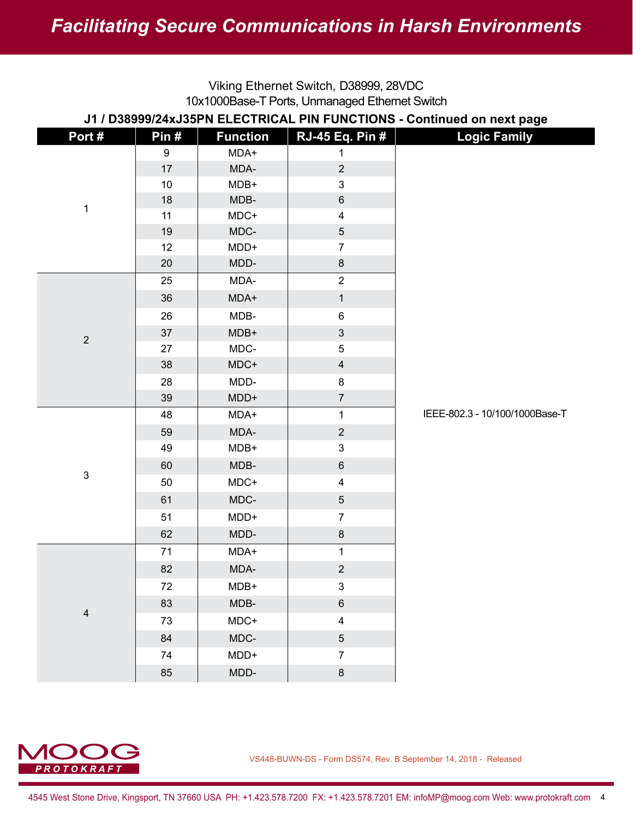| Viking Ethernet Switch, D38999, 28VDC<br>10x1000Base-T Ports, Unmanaged Ethernet Switch |                  |                 |                         |                                |  |  |
|-----------------------------------------------------------------------------------------|------------------|-----------------|-------------------------|--------------------------------|--|--|
| J1 / D38999/24xJ35PN ELECTRICAL PIN FUNCTIONS - Continued on next page                  |                  |                 |                         |                                |  |  |
| Port#                                                                                   | Pin#             | <b>Function</b> | <b>RJ-45 Eq. Pin #</b>  | <b>Logic Family</b>            |  |  |
|                                                                                         | $\boldsymbol{9}$ | MDA+            | 1                       |                                |  |  |
|                                                                                         | 17               | MDA-            | $\overline{2}$          |                                |  |  |
|                                                                                         | 10               | MDB+            | 3                       |                                |  |  |
| 1                                                                                       | 18               | MDB-            | $\,6$                   |                                |  |  |
|                                                                                         | 11               | MDC+            | $\overline{4}$          |                                |  |  |
|                                                                                         | 19               | MDC-            | 5                       |                                |  |  |
|                                                                                         | 12               | MDD+            | $\overline{7}$          |                                |  |  |
|                                                                                         | 20               | MDD-            | 8                       |                                |  |  |
|                                                                                         | 25               | MDA-            | $\overline{2}$          |                                |  |  |
|                                                                                         | 36               | MDA+            | $\mathbf{1}$            |                                |  |  |
|                                                                                         | 26               | MDB-            | $\,6$                   |                                |  |  |
| $\overline{2}$                                                                          | 37               | MDB+            | $\mathfrak{B}$          |                                |  |  |
|                                                                                         | 27               | MDC-            | 5                       |                                |  |  |
|                                                                                         | 38               | MDC+            | $\overline{4}$          |                                |  |  |
|                                                                                         | 28               | MDD-            | 8                       |                                |  |  |
|                                                                                         | 39               | MDD+            | $\overline{7}$          |                                |  |  |
|                                                                                         | 48               | MDA+            | $\mathbf{1}$            | IEEE-802.3 - 10/100/1000Base-T |  |  |
|                                                                                         | 59               | MDA-            | $\overline{2}$          |                                |  |  |
|                                                                                         | 49               | MDB+            | 3                       |                                |  |  |
|                                                                                         | 60               | MDB-            | $\,6$                   |                                |  |  |
| $\mathsf 3$                                                                             | 50               | MDC+            | $\overline{4}$          |                                |  |  |
|                                                                                         | 61               | MDC-            | 5                       |                                |  |  |
|                                                                                         | 51               | MDD+            | $\overline{7}$          |                                |  |  |
|                                                                                         | 62               | MDD-            | 8                       |                                |  |  |
| $\overline{\mathbf{4}}$                                                                 | 71               | MDA+            | 1                       |                                |  |  |
|                                                                                         | 82               | MDA-            | $\sqrt{2}$              |                                |  |  |
|                                                                                         | 72               | MDB+            | $\mathfrak{S}$          |                                |  |  |
|                                                                                         | 83               | MDB-            | $\,6\,$                 |                                |  |  |
|                                                                                         | 73               | MDC+            | $\overline{\mathbf{4}}$ |                                |  |  |
|                                                                                         | 84               | MDC-            | $\overline{5}$          |                                |  |  |
|                                                                                         | 74               | MDD+            | $\overline{7}$          |                                |  |  |
|                                                                                         | 85               | MDD-            | $\bf 8$                 |                                |  |  |

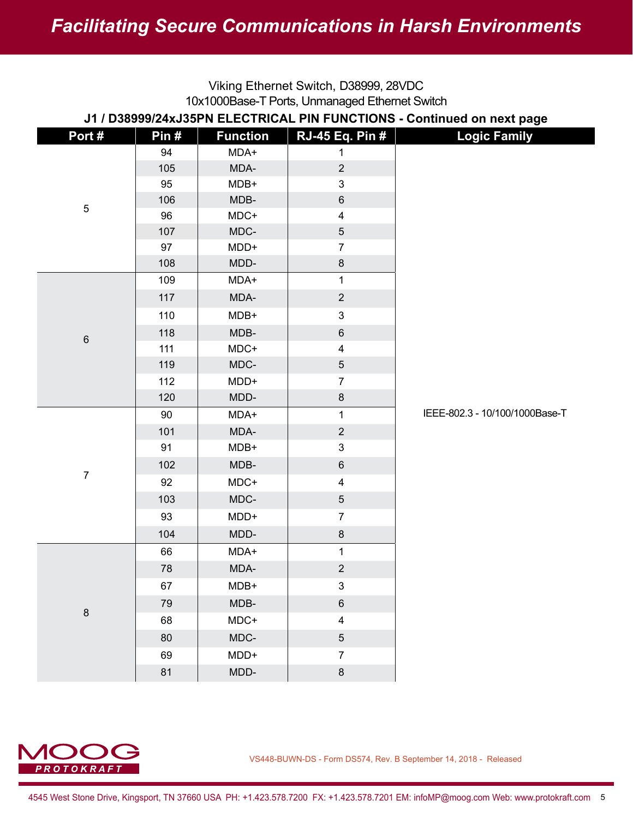| Viking Ethernet Switch, D38999, 28VDC<br>10x1000Base-T Ports, Unmanaged Ethernet Switch |         |                 |                         |                                |  |  |
|-----------------------------------------------------------------------------------------|---------|-----------------|-------------------------|--------------------------------|--|--|
| J1 / D38999/24xJ35PN ELECTRICAL PIN FUNCTIONS - Continued on next page                  |         |                 |                         |                                |  |  |
| Port#                                                                                   | Pin $#$ | <b>Function</b> | <b>RJ-45 Eq. Pin #</b>  | <b>Logic Family</b>            |  |  |
|                                                                                         | 94      | MDA+            | 1                       |                                |  |  |
|                                                                                         | 105     | MDA-            | $\overline{2}$          |                                |  |  |
|                                                                                         | 95      | MDB+            | 3                       |                                |  |  |
|                                                                                         | 106     | MDB-            | $\,6$                   |                                |  |  |
| $\sqrt{5}$                                                                              | 96      | MDC+            | $\overline{\mathbf{4}}$ |                                |  |  |
|                                                                                         | 107     | MDC-            | $\sqrt{5}$              |                                |  |  |
|                                                                                         | 97      | MDD+            | $\overline{7}$          |                                |  |  |
|                                                                                         | 108     | MDD-            | 8                       |                                |  |  |
|                                                                                         | 109     | MDA+            | $\mathbf 1$             |                                |  |  |
|                                                                                         | 117     | MDA-            | $\overline{2}$          |                                |  |  |
|                                                                                         | 110     | MDB+            | 3                       |                                |  |  |
| $\,6\,$                                                                                 | 118     | MDB-            | $\,6$                   |                                |  |  |
|                                                                                         | 111     | MDC+            | $\overline{\mathbf{4}}$ |                                |  |  |
|                                                                                         | 119     | MDC-            | 5                       |                                |  |  |
|                                                                                         | 112     | MDD+            | $\overline{7}$          |                                |  |  |
|                                                                                         | 120     | MDD-            | $\bf 8$                 |                                |  |  |
|                                                                                         | 90      | MDA+            | $\mathbf 1$             | IEEE-802.3 - 10/100/1000Base-T |  |  |
|                                                                                         | 101     | MDA-            | $\overline{2}$          |                                |  |  |
|                                                                                         | 91      | MDB+            | 3                       |                                |  |  |
|                                                                                         | 102     | MDB-            | $\,6$                   |                                |  |  |
| $\overline{7}$                                                                          | 92      | MDC+            | 4                       |                                |  |  |
|                                                                                         | 103     | MDC-            | $\overline{5}$          |                                |  |  |
|                                                                                         | 93      | MDD+            | $\overline{7}$          |                                |  |  |
|                                                                                         | 104     | MDD-            | $\bf 8$                 |                                |  |  |
|                                                                                         | 66      | MDA+            | $\mathbf{1}$            |                                |  |  |
|                                                                                         | 78      | MDA-            | $\overline{2}$          |                                |  |  |
|                                                                                         | 67      | MDB+            | $\mathsf 3$             |                                |  |  |
|                                                                                         | 79      | MDB-            | $\,6\,$                 |                                |  |  |
| $\bf 8$                                                                                 | 68      | MDC+            | $\overline{\mathbf{4}}$ |                                |  |  |
|                                                                                         | 80      | MDC-            | $\overline{5}$          |                                |  |  |
|                                                                                         | 69      | MDD+            | $\overline{7}$          |                                |  |  |
|                                                                                         | 81      | MDD-            | $\bf 8$                 |                                |  |  |
|                                                                                         |         |                 |                         |                                |  |  |

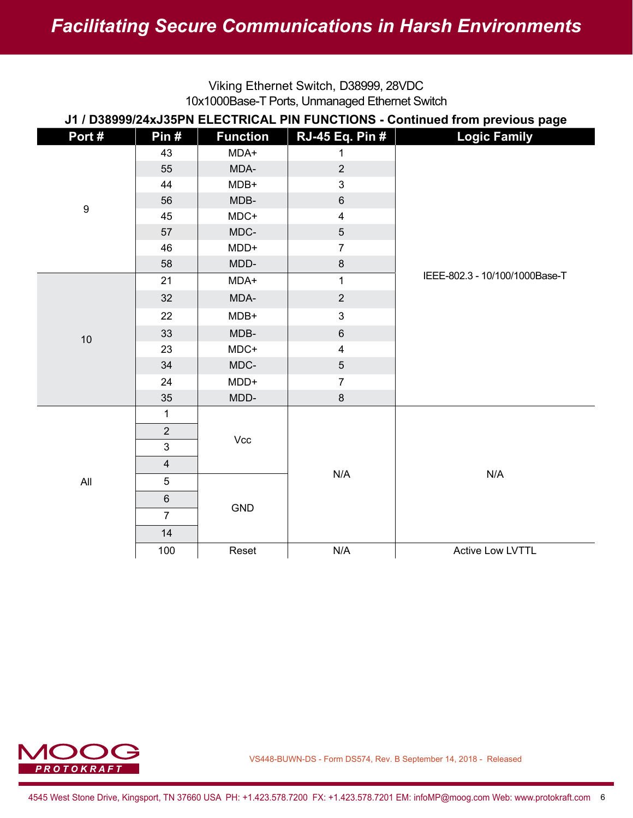| VINITY CUICITIC OWNCH, DO0000, ZOVDO<br>10x1000Base-T Ports, Unmanaged Ethernet Switch |                |                 |                         |                                |  |  |
|----------------------------------------------------------------------------------------|----------------|-----------------|-------------------------|--------------------------------|--|--|
| J1 / D38999/24xJ35PN ELECTRICAL PIN FUNCTIONS - Continued from previous page           |                |                 |                         |                                |  |  |
| Port#                                                                                  | Pin#           | <b>Function</b> | <b>RJ-45 Eq. Pin #</b>  | <b>Logic Family</b>            |  |  |
|                                                                                        | 43             | MDA+            | $\mathbf{1}$            |                                |  |  |
|                                                                                        | 55             | MDA-            | $\overline{2}$          |                                |  |  |
|                                                                                        | 44             | MDB+            | 3                       |                                |  |  |
| $\boldsymbol{9}$                                                                       | 56             | MDB-            | $\,6\,$                 |                                |  |  |
|                                                                                        | 45             | MDC+            | $\overline{\mathbf{4}}$ |                                |  |  |
|                                                                                        | 57             | MDC-            | $\overline{5}$          |                                |  |  |
|                                                                                        | 46             | MDD+            | $\overline{7}$          |                                |  |  |
|                                                                                        | 58             | MDD-            | $\bf 8$                 |                                |  |  |
|                                                                                        | 21             | MDA+            | $\mathbf{1}$            | IEEE-802.3 - 10/100/1000Base-T |  |  |
|                                                                                        | 32             | MDA-            | $\overline{2}$          |                                |  |  |
|                                                                                        | 22             | MDB+            | $\mathfrak{S}$          |                                |  |  |
| 10                                                                                     | 33             | MDB-            | $\,6\,$                 |                                |  |  |
|                                                                                        | 23             | MDC+            | $\overline{4}$          |                                |  |  |
|                                                                                        | 34             | MDC-            | 5                       |                                |  |  |
|                                                                                        | 24             | MDD+            | $\overline{7}$          |                                |  |  |
|                                                                                        | 35             | MDD-            | $\bf 8$                 |                                |  |  |
|                                                                                        | 1              |                 |                         |                                |  |  |
|                                                                                        | $\overline{2}$ | Vcc             |                         |                                |  |  |
|                                                                                        | 3              |                 |                         |                                |  |  |
|                                                                                        | $\overline{4}$ |                 |                         |                                |  |  |
| All                                                                                    | 5              |                 | N/A                     | N/A                            |  |  |
|                                                                                        | $6\phantom{1}$ | GND             |                         |                                |  |  |
|                                                                                        | $\overline{7}$ |                 |                         |                                |  |  |
|                                                                                        | 14             |                 |                         |                                |  |  |
|                                                                                        | 100            | Reset           | N/A                     | <b>Active Low LVTTL</b>        |  |  |